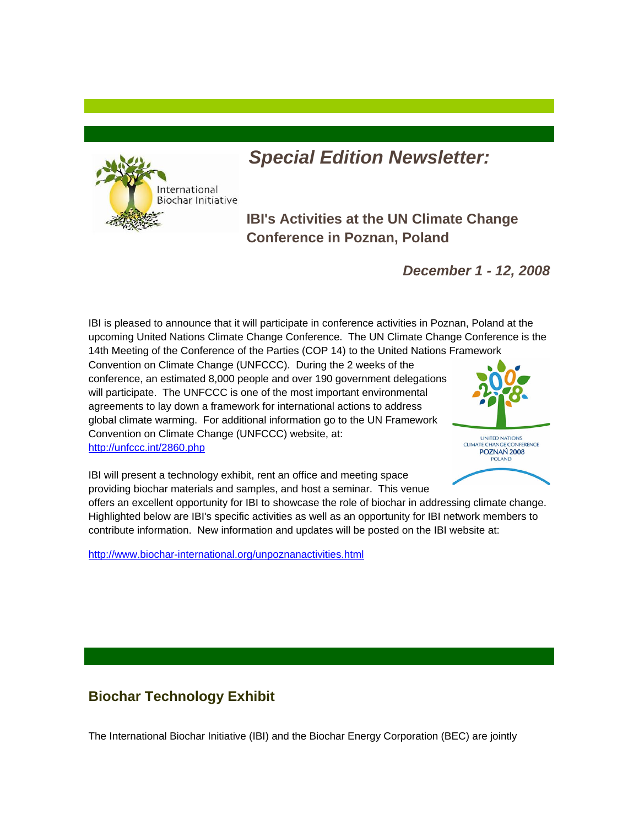

# *Special Edition Newsletter:*

**IBI's Activities at the UN Climate Change Conference in Poznan, Poland** 

*December 1 - 12, 2008*

IBI is pleased to announce that it will participate in conference activities in Poznan, Poland at the upcoming United Nations Climate Change Conference. The UN Climate Change Conference is the 14th Meeting of the Conference of the Parties (COP 14) to the United Nations Framework

Convention on Climate Change (UNFCCC). During the 2 weeks of the conference, an estimated 8,000 people and over 190 government delegations will participate. The UNFCCC is one of the most important environmental agreements to lay down a framework for international actions to address global climate warming. For additional information go to the UN Framework Convention on Climate Change (UNFCCC) website, at: http://unfccc.int/2860.php



IBI will present a technology exhibit, rent an office and meeting space providing biochar materials and samples, and host a seminar. This venue

offers an excellent opportunity for IBI to showcase the role of biochar in addressing climate change. Highlighted below are IBI's specific activities as well as an opportunity for IBI network members to contribute information. New information and updates will be posted on the IBI website at:

http://www.biochar-international.org/unpoznanactivities.html

## **Biochar Technology Exhibit**

The International Biochar Initiative (IBI) and the Biochar Energy Corporation (BEC) are jointly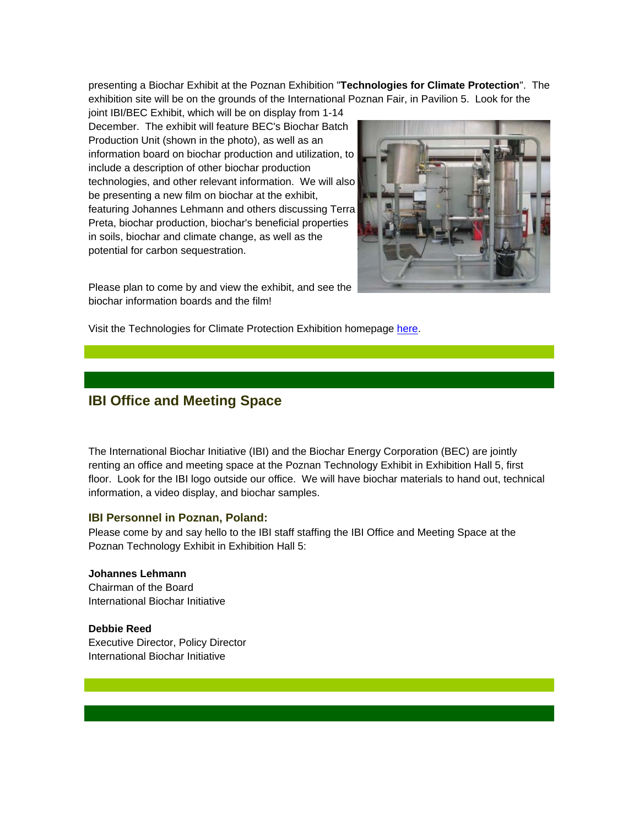presenting a Biochar Exhibit at the Poznan Exhibition "**Technologies for Climate Protection**". The exhibition site will be on the grounds of the International Poznan Fair, in Pavilion 5. Look for the

joint IBI/BEC Exhibit, which will be on display from 1-14 December. The exhibit will feature BEC's Biochar Batch Production Unit (shown in the photo), as well as an information board on biochar production and utilization, to include a description of other biochar production technologies, and other relevant information. We will also be presenting a new film on biochar at the exhibit, featuring Johannes Lehmann and others discussing Terra Preta, biochar production, biochar's beneficial properties in soils, biochar and climate change, as well as the potential for carbon sequestration.

Please plan to come by and view the exhibit, and see the biochar information boards and the film!



Visit the Technologies for Climate Protection Exhibition homepage here.

### **IBI Office and Meeting Space**

The International Biochar Initiative (IBI) and the Biochar Energy Corporation (BEC) are jointly renting an office and meeting space at the Poznan Technology Exhibit in Exhibition Hall 5, first floor. Look for the IBI logo outside our office. We will have biochar materials to hand out, technical information, a video display, and biochar samples.

#### **IBI Personnel in Poznan, Poland:**

Please come by and say hello to the IBI staff staffing the IBI Office and Meeting Space at the Poznan Technology Exhibit in Exhibition Hall 5:

**Johannes Lehmann** Chairman of the Board International Biochar Initiative

**Debbie Reed** Executive Director, Policy Director International Biochar Initiative